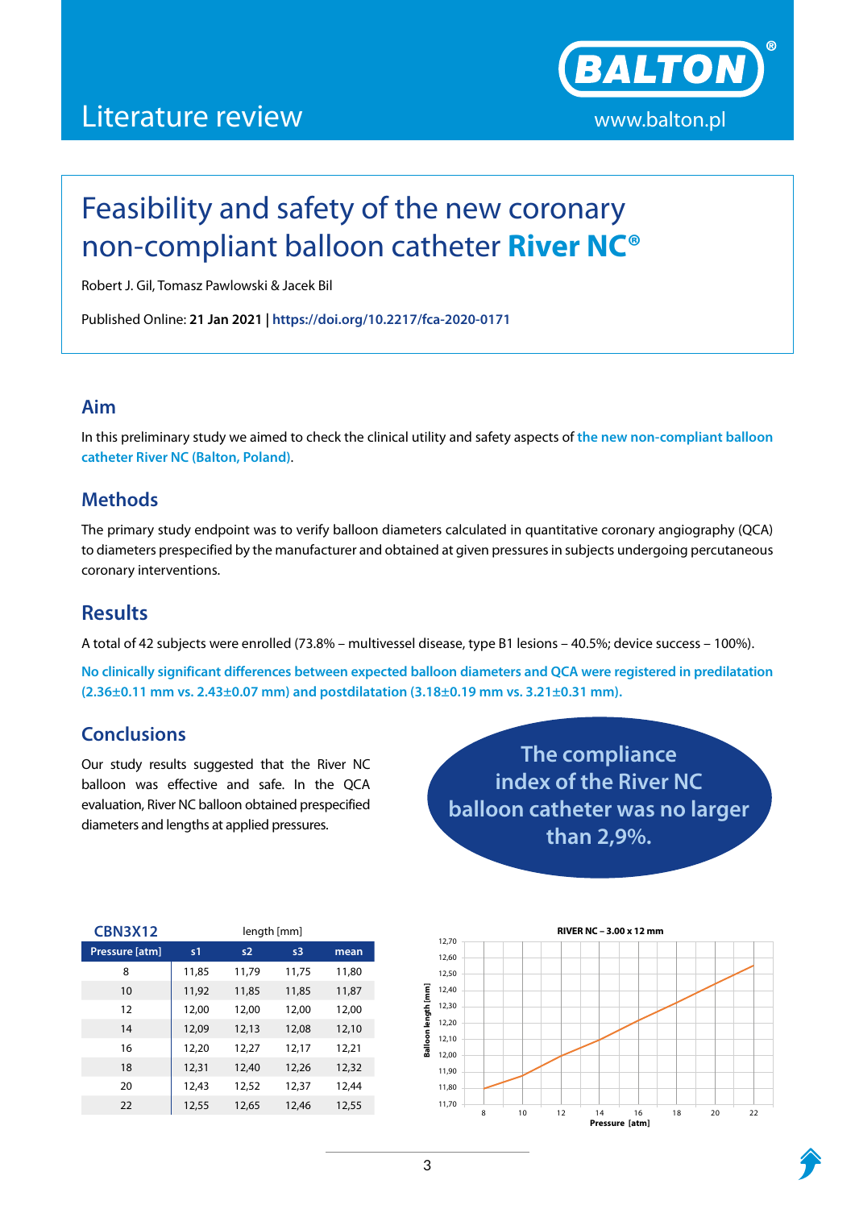## Literature review www.balton.pl



# Feasibility and safety of the new coronary non-compliant balloon catheter **River NC®**

Robert J. Gil, Tomasz Pawlowski & Jacek Bil

Published Online: **21 Jan 2021 | https://doi.org/10.2217/fca-2020-0171**

#### **Aim**

In this preliminary study we aimed to check the clinical utility and safety aspects of **the new non-compliant balloon catheter River NC (Balton, Poland)**.

#### **Methods**

The primary study endpoint was to verify balloon diameters calculated in quantitative coronary angiography (QCA) to diameters prespecified by the manufacturer and obtained at given pressures in subjects undergoing percutaneous coronary interventions.

### **Results**

A total of 42 subjects were enrolled (73.8% – multivessel disease, type B1 lesions – 40.5%; device success – 100%).

**No clinically significant differences between expected balloon diameters and QCA were registered in predilatation (2.36±0.11 mm vs. 2.43±0.07 mm) and postdilatation (3.18±0.19 mm vs. 3.21±0.31 mm).** 

### **Conclusions**

Our study results suggested that the River NC balloon was effective and safe. In the QCA evaluation, River NC balloon obtained prespecified diameters and lengths at applied pressures.

| The compliance                 |
|--------------------------------|
| index of the River NC          |
| balloon catheter was no larger |
| than 2,9%.                     |

| <b>CBN3X12</b> | length [mm] |       |       |       |  |
|----------------|-------------|-------|-------|-------|--|
| Pressure [atm] | s1          | s2    | s3    | mean  |  |
| 8              | 11,85       | 11,79 | 11,75 | 11,80 |  |
| 10             | 11,92       | 11,85 | 11,85 | 11,87 |  |
| 12             | 12,00       | 12,00 | 12,00 | 12,00 |  |
| 14             | 12,09       | 12,13 | 12,08 | 12,10 |  |
| 16             | 12,20       | 12,27 | 12,17 | 12,21 |  |
| 18             | 12,31       | 12,40 | 12,26 | 12,32 |  |
| 20             | 12,43       | 12,52 | 12,37 | 12,44 |  |
| 22             | 12,55       | 12,65 | 12,46 | 12,55 |  |